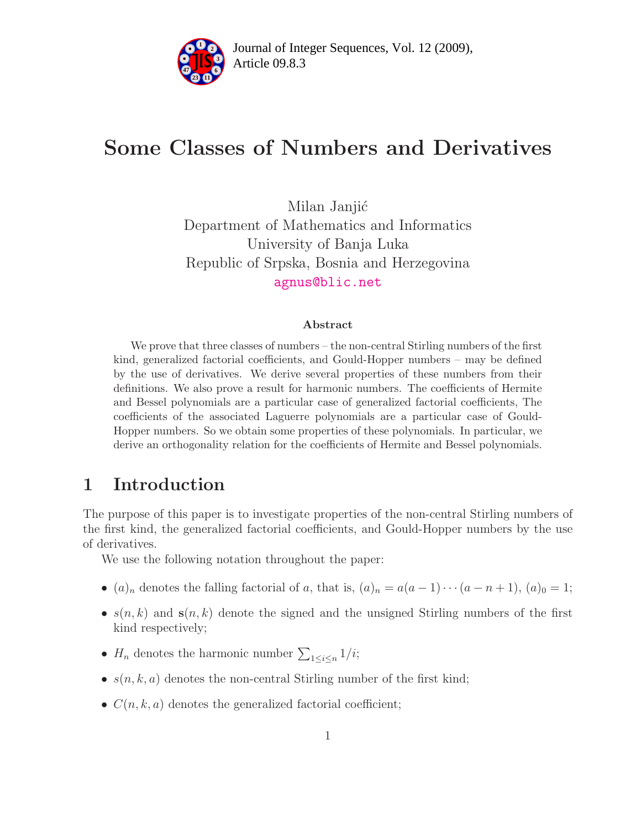

# Some Classes of Numbers and Derivatives

Milan Janjić Department of Mathematics and Informatics University of Banja Luka Republic of Srpska, Bosnia and Herzegovina [agnus@blic.net](mailto:agnus@blic.net)

#### Abstract

We prove that three classes of numbers – the non-central Stirling numbers of the first kind, generalized factorial coefficients, and Gould-Hopper numbers – may be defined by the use of derivatives. We derive several properties of these numbers from their definitions. We also prove a result for harmonic numbers. The coefficients of Hermite and Bessel polynomials are a particular case of generalized factorial coefficients, The coefficients of the associated Laguerre polynomials are a particular case of Gould-Hopper numbers. So we obtain some properties of these polynomials. In particular, we derive an orthogonality relation for the coefficients of Hermite and Bessel polynomials.

## 1 Introduction

The purpose of this paper is to investigate properties of the non-central Stirling numbers of the first kind, the generalized factorial coefficients, and Gould-Hopper numbers by the use of derivatives.

We use the following notation throughout the paper:

- $(a)_n$  denotes the falling factorial of a, that is,  $(a)_n = a(a-1)\cdots(a-n+1)$ ,  $(a)_0 = 1$ ;
- $s(n,k)$  and  $s(n,k)$  denote the signed and the unsigned Stirling numbers of the first kind respectively;
- $H_n$  denotes the harmonic number  $\sum_{1 \leq i \leq n} 1/i;$
- $s(n, k, a)$  denotes the non-central Stirling number of the first kind;
- $C(n, k, a)$  denotes the generalized factorial coefficient;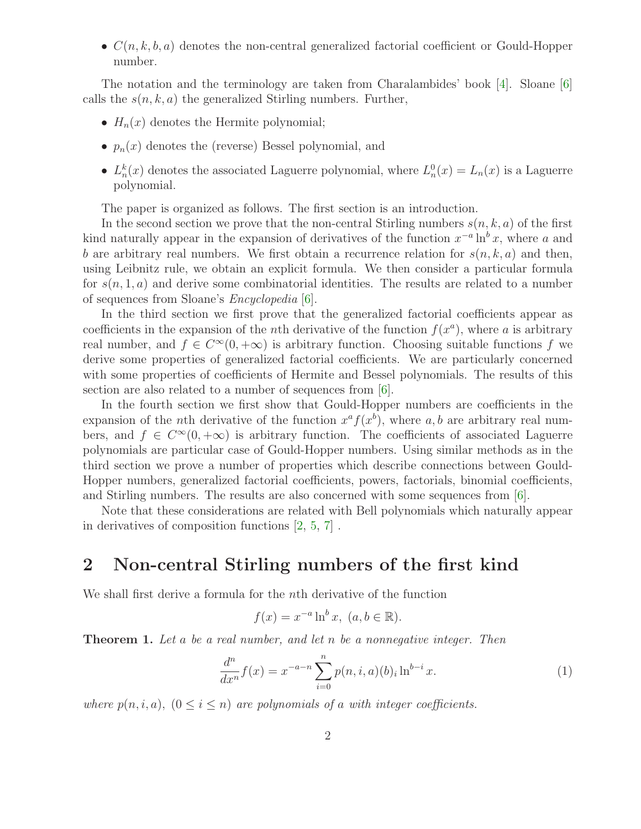•  $C(n,k,b,a)$  denotes the non-central generalized factorial coefficient or Gould-Hopper number.

The notation and the terminology are taken from Charalambides' book [\[4\]](#page-12-0). Sloane [\[6\]](#page-13-0) calls the  $s(n,k,a)$  the generalized Stirling numbers. Further,

- $H_n(x)$  denotes the Hermite polynomial;
- $p_n(x)$  denotes the (reverse) Bessel polynomial, and
- $L_n^k(x)$  denotes the associated Laguerre polynomial, where  $L_n^0(x) = L_n(x)$  is a Laguerre polynomial.

The paper is organized as follows. The first section is an introduction.

In the second section we prove that the non-central Stirling numbers  $s(n, k, a)$  of the first kind naturally appear in the expansion of derivatives of the function  $x^{-a} \ln^b x$ , where a and b are arbitrary real numbers. We first obtain a recurrence relation for  $s(n,k,a)$  and then, using Leibnitz rule, we obtain an explicit formula. We then consider a particular formula for  $s(n, 1, a)$  and derive some combinatorial identities. The results are related to a number of sequences from Sloane's Encyclopedia [\[6\]](#page-13-0).

In the third section we first prove that the generalized factorial coefficients appear as coefficients in the expansion of the *n*th derivative of the function  $f(x^a)$ , where a is arbitrary real number, and  $f \in C^{\infty}(0, +\infty)$  is arbitrary function. Choosing suitable functions f we derive some properties of generalized factorial coefficients. We are particularly concerned with some properties of coefficients of Hermite and Bessel polynomials. The results of this section are also related to a number of sequences from  $[6]$ .

In the fourth section we first show that Gould-Hopper numbers are coefficients in the expansion of the *n*th derivative of the function  $x^a f(x^b)$ , where a, b are arbitrary real numbers, and  $f \in C^{\infty}(0, +\infty)$  is arbitrary function. The coefficients of associated Laguerre polynomials are particular case of Gould-Hopper numbers. Using similar methods as in the third section we prove a number of properties which describe connections between Gould-Hopper numbers, generalized factorial coefficients, powers, factorials, binomial coefficients, and Stirling numbers. The results are also concerned with some sequences from [\[6\]](#page-13-0).

Note that these considerations are related with Bell polynomials which naturally appear in derivatives of composition functions [\[2,](#page-12-1) [5,](#page-12-2) [7\]](#page-13-1) .

### 2 Non-central Stirling numbers of the first kind

We shall first derive a formula for the nth derivative of the function

<span id="page-1-1"></span>
$$
f(x) = x^{-a} \ln^b x, \ (a, b \in \mathbb{R}).
$$

<span id="page-1-0"></span>**Theorem 1.** Let a be a real number, and let n be a nonnegative integer. Then

$$
\frac{d^n}{dx^n}f(x) = x^{-a-n} \sum_{i=0}^n p(n,i,a)(b)_i \ln^{b-i} x.
$$
 (1)

where  $p(n,i,a)$ ,  $(0 \leq i \leq n)$  are polynomials of a with integer coefficients.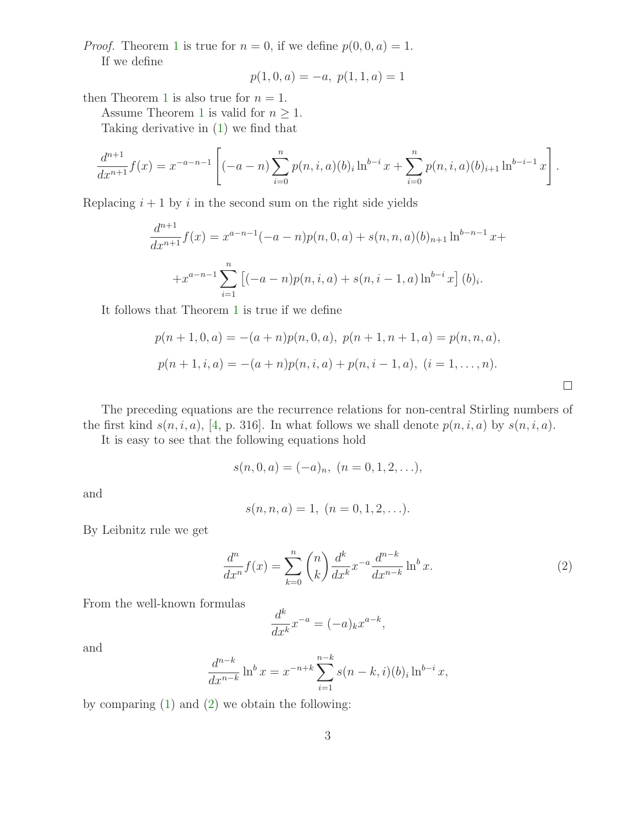*Proof.* Theorem [1](#page-1-0) is true for  $n = 0$ , if we define  $p(0, 0, a) = 1$ .

If we define

$$
p(1,0,a) = -a, p(1,1,a) = 1
$$

then Theorem [1](#page-1-0) is also true for  $n = 1$ .

Assume Theorem [1](#page-1-0) is valid for  $n \geq 1$ .

Taking derivative in [\(1\)](#page-1-1) we find that

$$
\frac{d^{n+1}}{dx^{n+1}}f(x) = x^{-a-n-1} \left[ (-a-n) \sum_{i=0}^{n} p(n,i,a)(b)_i \ln^{b-i} x + \sum_{i=0}^{n} p(n,i,a)(b)_{i+1} \ln^{b-i-1} x \right].
$$

Replacing  $i + 1$  by i in the second sum on the right side yields

$$
\frac{d^{n+1}}{dx^{n+1}}f(x) = x^{a-n-1}(-a-n)p(n,0,a) + s(n,n,a)(b)_{n+1}\ln^{b-n-1}x +
$$
  
+
$$
x^{a-n-1}\sum_{i=1}^{n} [(-a-n)p(n,i,a) + s(n,i-1,a)\ln^{b-i}x](b)_i.
$$

It follows that Theorem [1](#page-1-0) is true if we define

$$
p(n + 1, 0, a) = -(a + n)p(n, 0, a), p(n + 1, n + 1, a) = p(n, n, a),
$$
  

$$
p(n + 1, i, a) = -(a + n)p(n, i, a) + p(n, i - 1, a), (i = 1, ..., n).
$$

The preceding equations are the recurrence relations for non-central Stirling numbers of the first kind  $s(n,i,a)$ , [\[4,](#page-12-0) p. 316]. In what follows we shall denote  $p(n,i,a)$  by  $s(n,i,a)$ .

It is easy to see that the following equations hold

$$
s(n,0,a) = (-a)_n, \ (n = 0,1,2,...),
$$

and

$$
s(n, n, a) = 1, (n = 0, 1, 2, \ldots).
$$

<span id="page-2-0"></span>By Leibnitz rule we get

$$
\frac{d^n}{dx^n}f(x) = \sum_{k=0}^n \binom{n}{k} \frac{d^k}{dx^k} x^{-a} \frac{d^{n-k}}{dx^{n-k}} \ln^b x.
$$
 (2)

 $\Box$ 

From the well-known formulas

$$
\frac{d^k}{dx^k}x^{-a} = (-a)_k x^{a-k},
$$

and

$$
\frac{d^{n-k}}{dx^{n-k}}\ln^b x = x^{-n+k}\sum_{i=1}^{n-k} s(n-k,i)(b)_i\ln^{b-i} x,
$$

<span id="page-2-1"></span>by comparing [\(1\)](#page-1-1) and [\(2\)](#page-2-0) we obtain the following: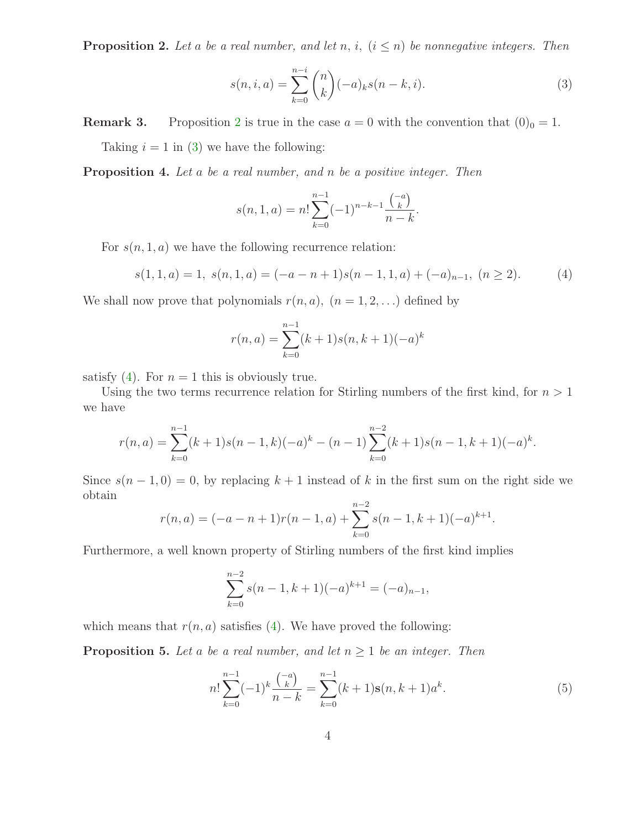**Proposition 2.** Let a be a real number, and let n, i,  $(i \leq n)$  be nonnegative integers. Then

<span id="page-3-0"></span>
$$
s(n, i, a) = \sum_{k=0}^{n-i} {n \choose k} (-a)_k s(n-k, i).
$$
 (3)

**Remark 3.** Proposition [2](#page-2-1) is true in the case  $a = 0$  with the convention that  $(0)_0 = 1$ . Taking  $i = 1$  in [\(3\)](#page-3-0) we have the following:

Proposition 4. Let a be a real number, and n be a positive integer. Then

<span id="page-3-1"></span>
$$
s(n, 1, a) = n! \sum_{k=0}^{n-1} (-1)^{n-k-1} \frac{\binom{-a}{k}}{n-k}.
$$

For  $s(n, 1, a)$  we have the following recurrence relation:

$$
s(1,1,a) = 1, s(n,1,a) = (-a - n + 1)s(n-1,1,a) + (-a)_{n-1}, (n \ge 2).
$$
 (4)

We shall now prove that polynomials  $r(n,a)$ ,  $(n = 1, 2, \ldots)$  defined by

$$
r(n, a) = \sum_{k=0}^{n-1} (k+1)s(n, k+1)(-a)^k
$$

satisfy [\(4\)](#page-3-1). For  $n = 1$  this is obviously true.

Using the two terms recurrence relation for Stirling numbers of the first kind, for  $n > 1$ we have

$$
r(n,a) = \sum_{k=0}^{n-1} (k+1)s(n-1,k)(-a)^k - (n-1)\sum_{k=0}^{n-2} (k+1)s(n-1,k+1)(-a)^k.
$$

Since  $s(n-1,0) = 0$ , by replacing  $k+1$  instead of k in the first sum on the right side we obtain

$$
r(n,a) = (-a - n + 1)r(n - 1, a) + \sum_{k=0}^{n-2} s(n - 1, k + 1)(-a)^{k+1}.
$$

Furthermore, a well known property of Stirling numbers of the first kind implies

<span id="page-3-3"></span>
$$
\sum_{k=0}^{n-2} s(n-1, k+1)(-a)^{k+1} = (-a)_{n-1},
$$

<span id="page-3-2"></span>which means that  $r(n, a)$  satisfies [\(4\)](#page-3-1). We have proved the following:

**Proposition 5.** Let a be a real number, and let  $n \geq 1$  be an integer. Then

$$
n! \sum_{k=0}^{n-1} (-1)^k \frac{\binom{-a}{k}}{n-k} = \sum_{k=0}^{n-1} (k+1) \mathbf{s}(n, k+1) a^k.
$$
 (5)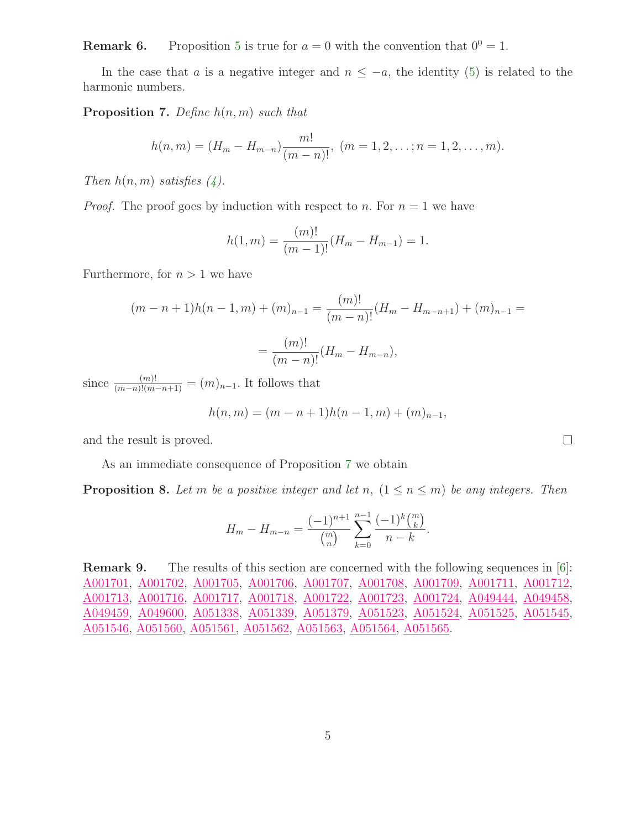**Remark 6.** Proposition [5](#page-3-2) is true for  $a = 0$  with the convention that  $0^0 = 1$ .

<span id="page-4-0"></span>In the case that a is a negative integer and  $n \leq -a$ , the identity [\(5\)](#page-3-3) is related to the harmonic numbers.

**Proposition 7.** Define  $h(n, m)$  such that

$$
h(n,m)=(H_m-H_{m-n})\frac{m!}{(m-n)!}, (m=1,2,\ldots;n=1,2,\ldots,m).
$$

Then  $h(n,m)$  satisfies  $(4)$ .

*Proof.* The proof goes by induction with respect to n. For  $n = 1$  we have

$$
h(1,m) = \frac{(m)!}{(m-1)!} (H_m - H_{m-1}) = 1.
$$

Furthermore, for  $n > 1$  we have

$$
(m - n + 1)h(n - 1, m) + (m)_{n-1} = \frac{(m)!}{(m - n)!}(H_m - H_{m-n+1}) + (m)_{n-1} = \frac{(m)!}{(m - n)!}(H_m - H_{m-n}),
$$

since  $\frac{(m)!}{(m-n)!(m-n+1)} = (m)_{n-1}$ . It follows that

$$
h(n,m) = (m - n + 1)h(n - 1, m) + (m)_{n-1},
$$

and the result is proved.

As an immediate consequence of Proposition [7](#page-4-0) we obtain

**Proposition 8.** Let m be a positive integer and let n,  $(1 \le n \le m)$  be any integers. Then

$$
H_m - H_{m-n} = \frac{(-1)^{n+1}}{\binom{m}{n}} \sum_{k=0}^{n-1} \frac{(-1)^k \binom{m}{k}}{n-k}.
$$

Remark 9. The results of this section are concerned with the following sequences in [\[6\]](#page-13-0): [A001701,](http://www.research.att.com/cgi-bin/access.cgi/as/~njas/sequences/eisA.cgi?Anum=A001701) [A001702,](http://www.research.att.com/cgi-bin/access.cgi/as/~njas/sequences/eisA.cgi?Anum=A001702) [A001705,](http://www.research.att.com/cgi-bin/access.cgi/as/~njas/sequences/eisA.cgi?Anum=A001705) [A001706,](http://www.research.att.com/cgi-bin/access.cgi/as/~njas/sequences/eisA.cgi?Anum=A001706) [A001707,](http://www.research.att.com/cgi-bin/access.cgi/as/~njas/sequences/eisA.cgi?Anum=A001707) [A001708,](http://www.research.att.com/cgi-bin/access.cgi/as/~njas/sequences/eisA.cgi?Anum=A001708) [A001709,](http://www.research.att.com/cgi-bin/access.cgi/as/~njas/sequences/eisA.cgi?Anum=A001709) [A001711,](http://www.research.att.com/cgi-bin/access.cgi/as/~njas/sequences/eisA.cgi?Anum=A001711) [A001712,](http://www.research.att.com/cgi-bin/access.cgi/as/~njas/sequences/eisA.cgi?Anum=A001712) [A001713,](http://www.research.att.com/cgi-bin/access.cgi/as/~njas/sequences/eisA.cgi?Anum=A001713) [A001716,](http://www.research.att.com/cgi-bin/access.cgi/as/~njas/sequences/eisA.cgi?Anum=A001716) [A001717,](http://www.research.att.com/cgi-bin/access.cgi/as/~njas/sequences/eisA.cgi?Anum=A001717) [A001718,](http://www.research.att.com/cgi-bin/access.cgi/as/~njas/sequences/eisA.cgi?Anum=A001718) [A001722,](http://www.research.att.com/cgi-bin/access.cgi/as/~njas/sequences/eisA.cgi?Anum=A001722) [A001723,](http://www.research.att.com/cgi-bin/access.cgi/as/~njas/sequences/eisA.cgi?Anum=A001723) [A001724,](http://www.research.att.com/cgi-bin/access.cgi/as/~njas/sequences/eisA.cgi?Anum=A001724) [A049444,](http://www.research.att.com/cgi-bin/access.cgi/as/~njas/sequences/eisA.cgi?Anum=A049444) [A049458,](http://www.research.att.com/cgi-bin/access.cgi/as/~njas/sequences/eisA.cgi?Anum=A049458) [A049459,](http://www.research.att.com/cgi-bin/access.cgi/as/~njas/sequences/eisA.cgi?Anum=A049459) [A049600,](http://www.research.att.com/cgi-bin/access.cgi/as/~njas/sequences/eisA.cgi?Anum=A049600) [A051338,](http://www.research.att.com/cgi-bin/access.cgi/as/~njas/sequences/eisA.cgi?Anum=A051338) [A051339,](http://www.research.att.com/cgi-bin/access.cgi/as/~njas/sequences/eisA.cgi?Anum=A051339) [A051379,](http://www.research.att.com/cgi-bin/access.cgi/as/~njas/sequences/eisA.cgi?Anum=A051379) [A051523,](http://www.research.att.com/cgi-bin/access.cgi/as/~njas/sequences/eisA.cgi?Anum=A051523) [A051524,](http://www.research.att.com/cgi-bin/access.cgi/as/~njas/sequences/eisA.cgi?Anum=A051524) [A051525,](http://www.research.att.com/cgi-bin/access.cgi/as/~njas/sequences/eisA.cgi?Anum=A051525) [A051545,](http://www.research.att.com/cgi-bin/access.cgi/as/~njas/sequences/eisA.cgi?Anum=A051545) [A051546,](http://www.research.att.com/cgi-bin/access.cgi/as/~njas/sequences/eisA.cgi?Anum=A051546) [A051560,](http://www.research.att.com/cgi-bin/access.cgi/as/~njas/sequences/eisA.cgi?Anum=A051560) [A051561,](http://www.research.att.com/cgi-bin/access.cgi/as/~njas/sequences/eisA.cgi?Anum=A051561) [A051562,](http://www.research.att.com/cgi-bin/access.cgi/as/~njas/sequences/eisA.cgi?Anum=A051562) [A051563,](http://www.research.att.com/cgi-bin/access.cgi/as/~njas/sequences/eisA.cgi?Anum=A051563) [A051564,](http://www.research.att.com/cgi-bin/access.cgi/as/~njas/sequences/eisA.cgi?Anum=A051564) [A051565.](http://www.research.att.com/cgi-bin/access.cgi/as/~njas/sequences/eisA.cgi?Anum=A051565)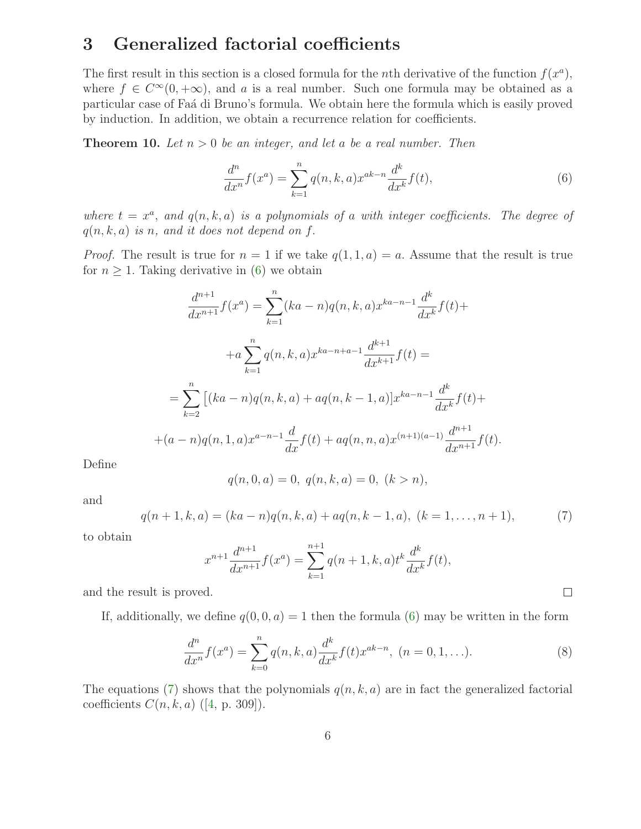### 3 Generalized factorial coefficients

The first result in this section is a closed formula for the *n*th derivative of the function  $f(x^a)$ , where  $f \in C^{\infty}(0, +\infty)$ , and a is a real number. Such one formula may be obtained as a particular case of Faá di Bruno's formula. We obtain here the formula which is easily proved by induction. In addition, we obtain a recurrence relation for coefficients.

**Theorem 10.** Let  $n > 0$  be an integer, and let a be a real number. Then

<span id="page-5-0"></span>
$$
\frac{d^n}{dx^n}f(x^a) = \sum_{k=1}^n q(n,k,a)x^{ak-n}\frac{d^k}{dx^k}f(t),
$$
\n(6)

where  $t = x^a$ , and  $q(n, k, a)$  is a polynomials of a with integer coefficients. The degree of  $q(n,k,a)$  is n, and it does not depend on f.

*Proof.* The result is true for  $n = 1$  if we take  $q(1, 1, a) = a$ . Assume that the result is true for  $n \geq 1$ . Taking derivative in [\(6\)](#page-5-0) we obtain

$$
\frac{d^{n+1}}{dx^{n+1}}f(x^a) = \sum_{k=1}^n (ka - n)q(n, k, a)x^{ka - n - 1}\frac{d^k}{dx^k}f(t) +
$$
  
+
$$
+a \sum_{k=1}^n q(n, k, a)x^{ka - n + a - 1}\frac{d^{k+1}}{dx^{k+1}}f(t) =
$$
  
=
$$
\sum_{k=2}^n [(ka - n)q(n, k, a) + aq(n, k - 1, a)]x^{ka - n - 1}\frac{d^k}{dx^k}f(t) +
$$
  
+
$$
(a - n)q(n, 1, a)x^{a - n - 1}\frac{d}{dx}f(t) + aq(n, n, a)x^{(n+1)(a - 1)}\frac{d^{n+1}}{dx^{n+1}}f(t).
$$

Define

$$
q(n,0,a) = 0, q(n,k,a) = 0, (k > n),
$$

<span id="page-5-1"></span>and

$$
q(n+1,k,a) = (ka-n)q(n,k,a) + aq(n,k-1,a), \ (k = 1, \ldots, n+1), \tag{7}
$$

to obtain

$$
x^{n+1} \frac{d^{n+1}}{dx^{n+1}} f(x^a) = \sum_{k=1}^{n+1} q(n+1, k, a) t^k \frac{d^k}{dx^k} f(t),
$$

and the result is proved.

If, additionally, we define  $q(0, 0, a) = 1$  then the formula [\(6\)](#page-5-0) may be written in the form

$$
\frac{d^n}{dx^n}f(x^a) = \sum_{k=0}^n q(n,k,a) \frac{d^k}{dx^k} f(t)x^{ak-n}, (n = 0, 1, ...).
$$
 (8)

<span id="page-5-2"></span> $\Box$ 

The equations [\(7\)](#page-5-1) shows that the polynomials  $q(n,k,a)$  are in fact the generalized factorial coefficients  $C(n, k, a)$  ([\[4,](#page-12-0) p. 309]).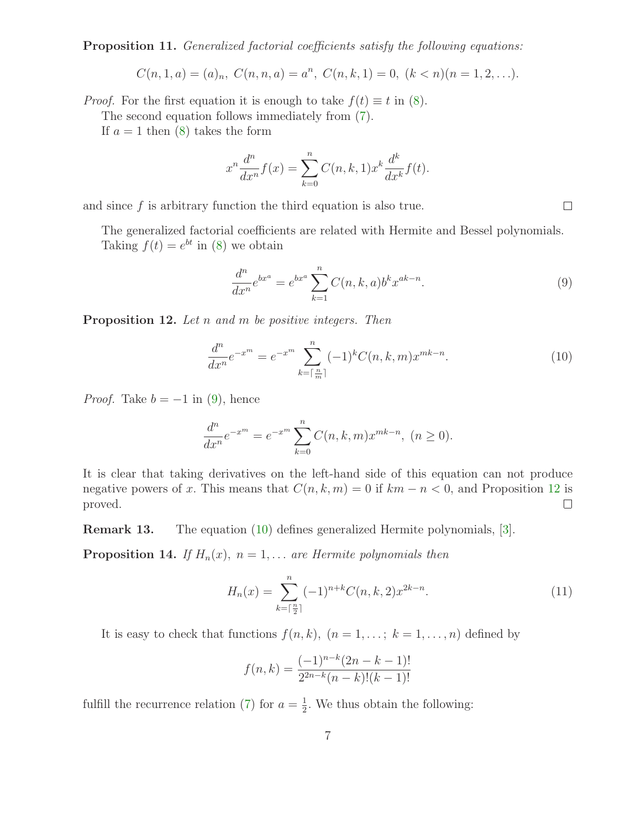Proposition 11. Generalized factorial coefficients satisfy the following equations:

$$
C(n,1,a) = (a)_n, C(n,n,a) = a^n, C(n,k,1) = 0, (k < n)(n = 1,2,...).
$$

*Proof.* For the first equation it is enough to take  $f(t) \equiv t$  in [\(8\)](#page-5-2).

The second equation follows immediately from [\(7\)](#page-5-1).

If  $a = 1$  then  $(8)$  takes the form

$$
x^n \frac{d^n}{dx^n} f(x) = \sum_{k=0}^n C(n,k,1) x^k \frac{d^k}{dx^k} f(t).
$$

and since  $f$  is arbitrary function the third equation is also true.

The generalized factorial coefficients are related with Hermite and Bessel polynomials. Taking  $f(t) = e^{bt}$  in [\(8\)](#page-5-2) we obtain

<span id="page-6-2"></span><span id="page-6-0"></span>
$$
\frac{d^n}{dx^n}e^{bx^a} = e^{bx^a} \sum_{k=1}^n C(n,k,a) b^k x^{ak-n}.
$$
\n(9)

<span id="page-6-1"></span>**Proposition 12.** Let n and m be positive integers. Then

$$
\frac{d^n}{dx^n}e^{-x^m} = e^{-x^m} \sum_{k=\lceil \frac{n}{m} \rceil}^n (-1)^k C(n,k,m) x^{mk-n}.
$$
 (10)

*Proof.* Take  $b = -1$  in [\(9\)](#page-6-0), hence

$$
\frac{d^n}{dx^n}e^{-x^m} = e^{-x^m} \sum_{k=0}^n C(n,k,m)x^{mk-n}, \ (n \ge 0).
$$

It is clear that taking derivatives on the left-hand side of this equation can not produce negative powers of x. This means that  $C(n,k,m) = 0$  if  $km - n < 0$ , and Proposition [12](#page-6-1) is  $\Box$ proved.

Remark 13. The equation [\(10\)](#page-6-2) defines generalized Hermite polynomials, [\[3\]](#page-12-3).

**Proposition 14.** If  $H_n(x)$ ,  $n = 1,...$  are Hermite polynomials then

<span id="page-6-3"></span>
$$
H_n(x) = \sum_{k=\lceil \frac{n}{2} \rceil}^n (-1)^{n+k} C(n,k,2) x^{2k-n}.
$$
 (11)

It is easy to check that functions  $f(n,k)$ ,  $(n = 1, \ldots; k = 1, \ldots, n)$  defined by

$$
f(n,k) = \frac{(-1)^{n-k}(2n-k-1)!}{2^{2n-k}(n-k)!(k-1)!}
$$

fulfill the recurrence relation [\(7\)](#page-5-1) for  $a=\frac{1}{2}$  $\frac{1}{2}$ . We thus obtain the following: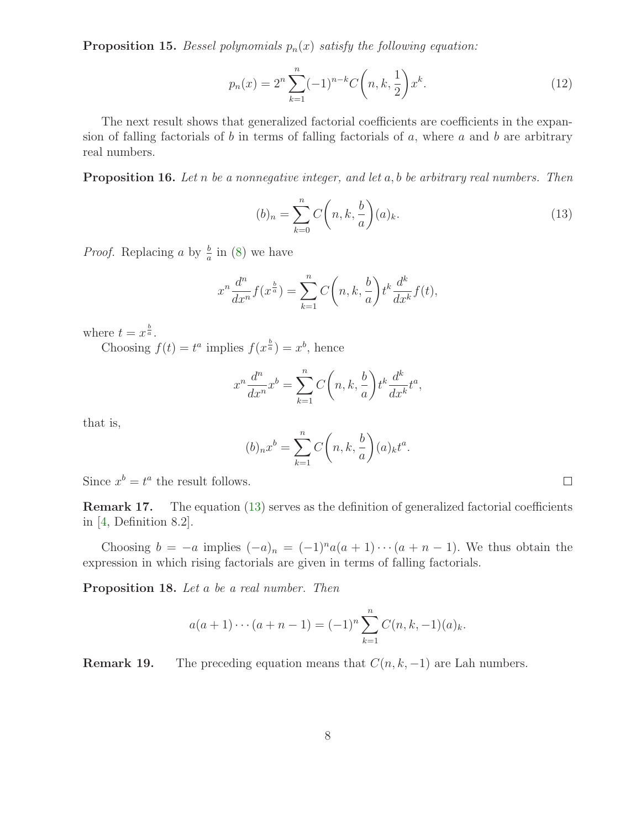**Proposition 15.** Bessel polynomials  $p_n(x)$  satisfy the following equation:

<span id="page-7-1"></span>
$$
p_n(x) = 2^n \sum_{k=1}^n (-1)^{n-k} C\left(n, k, \frac{1}{2}\right) x^k.
$$
 (12)

The next result shows that generalized factorial coefficients are coefficients in the expansion of falling factorials of b in terms of falling factorials of a, where a and b are arbitrary real numbers.

<span id="page-7-0"></span>**Proposition 16.** Let n be a nonnegative integer, and let  $a, b$  be arbitrary real numbers. Then

$$
(b)_n = \sum_{k=0}^n C\left(n, k, \frac{b}{a}\right)(a)_k. \tag{13}
$$

 $\Box$ 

*Proof.* Replacing a by  $\frac{b}{a}$  in [\(8\)](#page-5-2) we have

$$
x^{n} \frac{d^{n}}{dx^{n}} f(x^{\frac{b}{a}}) = \sum_{k=1}^{n} C\left(n, k, \frac{b}{a}\right) t^{k} \frac{d^{k}}{dx^{k}} f(t),
$$

where  $t = x^{\frac{b}{a}}$ .

Choosing  $f(t) = t^a$  implies  $f(x^{\frac{b}{a}}) = x^b$ , hence

$$
x^n \frac{d^n}{dx^n} x^b = \sum_{k=1}^n C\left(n, k, \frac{b}{a}\right) t^k \frac{d^k}{dx^k} t^a,
$$

that is,

$$
(b)_n x^b = \sum_{k=1}^n C\left(n, k, \frac{b}{a}\right) (a)_k t^a.
$$

Since  $x^b = t^a$  the result follows.

Remark 17. The equation [\(13\)](#page-7-0) serves as the definition of generalized factorial coefficients in  $[4,$  Definition 8.2..

Choosing  $b = -a$  implies  $(-a)_n = (-1)^n a(a+1) \cdots (a+n-1)$ . We thus obtain the expression in which rising factorials are given in terms of falling factorials.

Proposition 18. Let a be a real number. Then

$$
a(a+1)\cdots(a+n-1) = (-1)^n \sum_{k=1}^n C(n,k,-1)(a)_k.
$$

**Remark 19.** The preceding equation means that  $C(n, k, -1)$  are Lah numbers.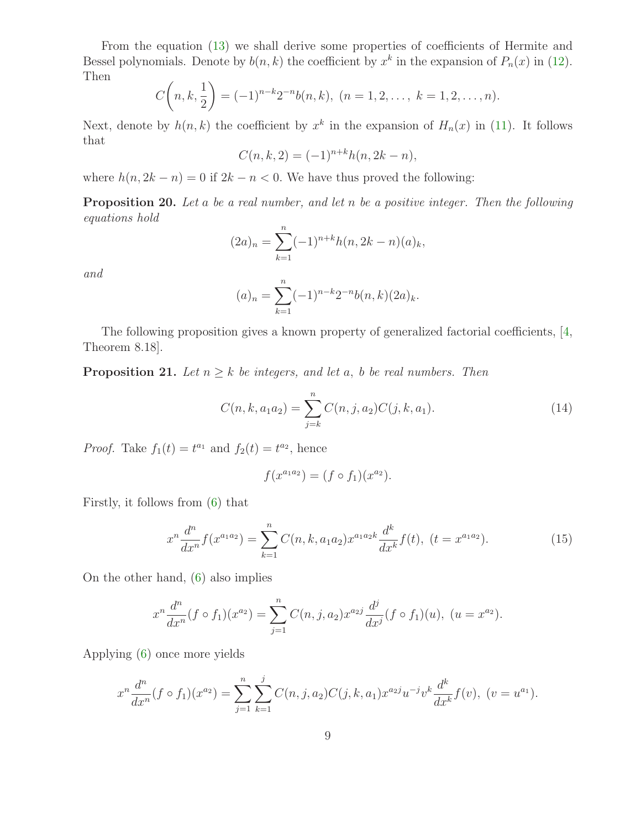From the equation [\(13\)](#page-7-0) we shall derive some properties of coefficients of Hermite and Bessel polynomials. Denote by  $b(n, k)$  the coefficient by  $x^k$  in the expansion of  $P_n(x)$  in [\(12\)](#page-7-1). Then

$$
C\left(n,k,\frac{1}{2}\right) = (-1)^{n-k} 2^{-n} b(n,k), \ (n = 1,2,\ldots,\ k = 1,2,\ldots,n).
$$

Next, denote by  $h(n, k)$  the coefficient by  $x^k$  in the expansion of  $H_n(x)$  in [\(11\)](#page-6-3). It follows that

$$
C(n,k,2) = (-1)^{n+k}h(n,2k-n),
$$

where  $h(n, 2k - n) = 0$  if  $2k - n < 0$ . We have thus proved the following:

Proposition 20. Let a be a real number, and let n be a positive integer. Then the following equations hold

$$
(2a)_n = \sum_{k=1}^n (-1)^{n+k} h(n, 2k - n)(a)_k,
$$

and

$$
(a)_n = \sum_{k=1}^n (-1)^{n-k} 2^{-n} b(n,k) (2a)_k.
$$

<span id="page-8-1"></span>The following proposition gives a known property of generalized factorial coefficients, [\[4,](#page-12-0) Theorem 8.18].

**Proposition 21.** Let  $n \geq k$  be integers, and let a, b be real numbers. Then

$$
C(n,k,a_1a_2) = \sum_{j=k}^{n} C(n,j,a_2)C(j,k,a_1).
$$
 (14)

*Proof.* Take  $f_1(t) = t^{a_1}$  and  $f_2(t) = t^{a_2}$ , hence

$$
f(x^{a_1 a_2}) = (f \circ f_1)(x^{a_2}).
$$

Firstly, it follows from [\(6\)](#page-5-0) that

<span id="page-8-0"></span>
$$
x^{n} \frac{d^{n}}{dx^{n}} f(x^{a_{1}a_{2}}) = \sum_{k=1}^{n} C(n, k, a_{1}a_{2}) x^{a_{1}a_{2}k} \frac{d^{k}}{dx^{k}} f(t), \ (t = x^{a_{1}a_{2}}). \tag{15}
$$

On the other hand, [\(6\)](#page-5-0) also implies

$$
x^{n} \frac{d^{n}}{dx^{n}} (f \circ f_{1})(x^{a_{2}}) = \sum_{j=1}^{n} C(n, j, a_{2}) x^{a_{2}j} \frac{d^{j}}{dx^{j}} (f \circ f_{1})(u), \ (u = x^{a_{2}}).
$$

Applying [\(6\)](#page-5-0) once more yields

$$
x^{n} \frac{d^{n}}{dx^{n}} (f \circ f_{1})(x^{a_{2}}) = \sum_{j=1}^{n} \sum_{k=1}^{j} C(n, j, a_{2}) C(j, k, a_{1}) x^{a_{2}j} u^{-j} v^{k} \frac{d^{k}}{dx^{k}} f(v), \ (v = u^{a_{1}}).
$$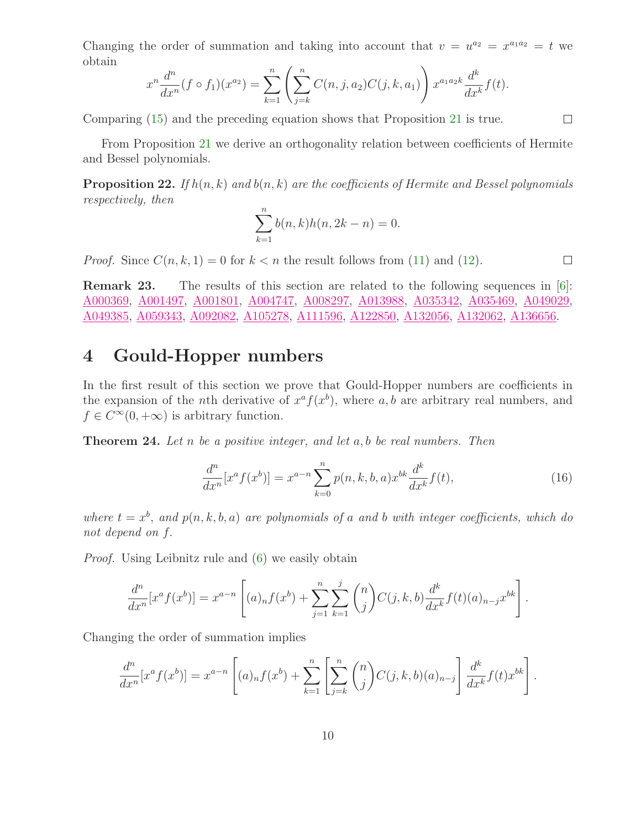Changing the order of summation and taking into account that  $v = u^{a_2} = x^{a_1 a_2} = t$  we obtain

$$
x^{n} \frac{d^{n}}{dx^{n}} (f \circ f_{1})(x^{a_{2}}) = \sum_{k=1}^{n} \left( \sum_{j=k}^{n} C(n, j, a_{2}) C(j, k, a_{1}) \right) x^{a_{1} a_{2} k} \frac{d^{k}}{dx^{k}} f(t).
$$

Comparing [\(15\)](#page-8-0) and the preceding equation shows that Proposition [21](#page-8-1) is true.

From Proposition [21](#page-8-1) we derive an orthogonality relation between coefficients of Hermite and Bessel polynomials.

**Proposition 22.** If  $h(n,k)$  and  $b(n,k)$  are the coefficients of Hermite and Bessel polynomials respectively, then

$$
\sum_{k=1}^{n} b(n,k)h(n,2k-n) = 0.
$$

*Proof.* Since  $C(n, k, 1) = 0$  for  $k < n$  the result follows from [\(11\)](#page-6-3) and [\(12\)](#page-7-1).

**Remark 23.** The results of this section are related to the following sequences in  $[6]$ : [A000369,](http://www.research.att.com/cgi-bin/access.cgi/as/~njas/sequences/eisA.cgi?Anum=A000369) [A001497,](http://www.research.att.com/cgi-bin/access.cgi/as/~njas/sequences/eisA.cgi?Anum=A001497) [A001801,](http://www.research.att.com/cgi-bin/access.cgi/as/~njas/sequences/eisA.cgi?Anum=A001801) [A004747,](http://www.research.att.com/cgi-bin/access.cgi/as/~njas/sequences/eisA.cgi?Anum=A004747) [A008297,](http://www.research.att.com/cgi-bin/access.cgi/as/~njas/sequences/eisA.cgi?Anum=A008297) [A013988,](http://www.research.att.com/cgi-bin/access.cgi/as/~njas/sequences/eisA.cgi?Anum=A013988) [A035342,](http://www.research.att.com/cgi-bin/access.cgi/as/~njas/sequences/eisA.cgi?Anum=A035342) [A035469,](http://www.research.att.com/cgi-bin/access.cgi/as/~njas/sequences/eisA.cgi?Anum=A035469) [A049029,](http://www.research.att.com/cgi-bin/access.cgi/as/~njas/sequences/eisA.cgi?Anum=A049029) [A049385,](http://www.research.att.com/cgi-bin/access.cgi/as/~njas/sequences/eisA.cgi?Anum=A049385) [A059343,](http://www.research.att.com/cgi-bin/access.cgi/as/~njas/sequences/eisA.cgi?Anum=A059343) [A092082,](http://www.research.att.com/cgi-bin/access.cgi/as/~njas/sequences/eisA.cgi?Anum=A092082) [A105278,](http://www.research.att.com/cgi-bin/access.cgi/as/~njas/sequences/eisA.cgi?Anum=A105278) [A111596,](http://www.research.att.com/cgi-bin/access.cgi/as/~njas/sequences/eisA.cgi?Anum=A111596) [A122850,](http://www.research.att.com/cgi-bin/access.cgi/as/~njas/sequences/eisA.cgi?Anum=A122850) [A132056,](http://www.research.att.com/cgi-bin/access.cgi/as/~njas/sequences/eisA.cgi?Anum=A132056) [A132062,](http://www.research.att.com/cgi-bin/access.cgi/as/~njas/sequences/eisA.cgi?Anum=A132062) [A136656.](http://www.research.att.com/cgi-bin/access.cgi/as/~njas/sequences/eisA.cgi?Anum=A136656)

#### 4 Gould-Hopper numbers

In the first result of this section we prove that Gould-Hopper numbers are coefficients in the expansion of the *n*th derivative of  $x^a f(x^b)$ , where a, b are arbitrary real numbers, and  $f \in C^{\infty}(0, +\infty)$  is arbitrary function.

<span id="page-9-0"></span>**Theorem 24.** Let n be a positive integer, and let a, b be real numbers. Then

$$
\frac{d^n}{dx^n}[x^a f(x^b)] = x^{a-n} \sum_{k=0}^n p(n,k,b,a) x^{bk} \frac{d^k}{dx^k} f(t),
$$
\n(16)

where  $t = x^b$ , and  $p(n, k, b, a)$  are polynomials of a and b with integer coefficients, which do not depend on f.

Proof. Using Leibnitz rule and [\(6\)](#page-5-0) we easily obtain

$$
\frac{d^n}{dx^n}[x^a f(x^b)] = x^{a-n} \left[ (a)_n f(x^b) + \sum_{j=1}^n \sum_{k=1}^j {n \choose j} C(j,k,b) \frac{d^k}{dx^k} f(t)(a)_{n-j} x^{bk} \right].
$$

Changing the order of summation implies

$$
\frac{d^n}{dx^n}[x^a f(x^b)] = x^{a-n} \left[ (a)_n f(x^b) + \sum_{k=1}^n \left[ \sum_{j=k}^n \binom{n}{j} C(j,k,b)(a)_{n-j} \right] \frac{d^k}{dx^k} f(t)x^{bk} \right].
$$

<span id="page-9-1"></span> $\Box$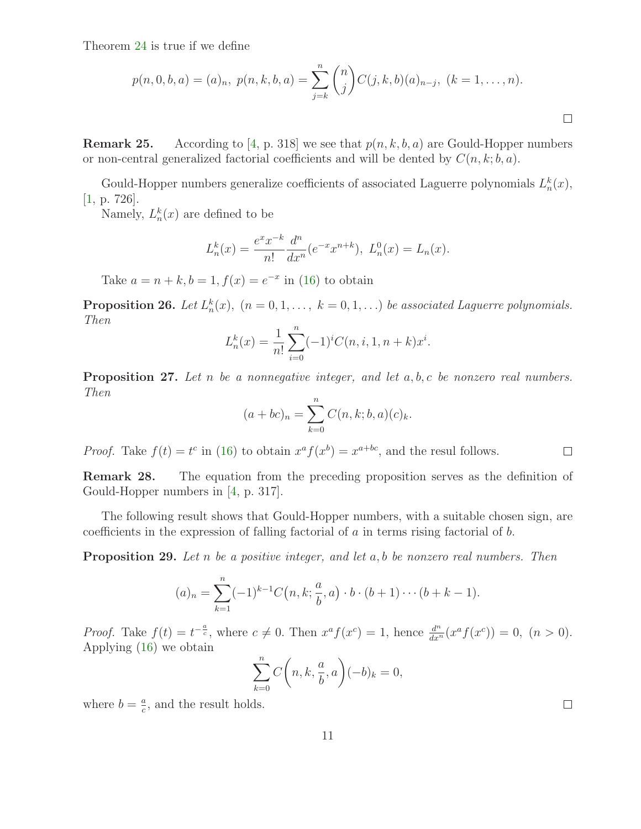Theorem [24](#page-9-0) is true if we define

$$
p(n,0,b,a) = (a)_n, p(n,k,b,a) = \sum_{j=k}^n \binom{n}{j} C(j,k,b)(a)_{n-j}, (k = 1, \dots, n).
$$

**Remark 25.** According to [\[4,](#page-12-0) p. 318] we see that  $p(n, k, b, a)$  are Gould-Hopper numbers or non-central generalized factorial coefficients and will be dented by  $C(n, k; b, a)$ .

Gould-Hopper numbers generalize coefficients of associated Laguerre polynomials  $L_n^k(x)$ , [\[1,](#page-12-4) p. 726].

Namely,  $L_n^k(x)$  are defined to be

$$
L_n^k(x) = \frac{e^x x^{-k}}{n!} \frac{d^n}{dx^n} (e^{-x} x^{n+k}), L_n^0(x) = L_n(x).
$$

Take  $a = n + k, b = 1, f(x) = e^{-x}$  in [\(16\)](#page-9-1) to obtain

**Proposition 26.** Let  $L_n^k(x)$ ,  $(n = 0, 1, \ldots, k = 0, 1, \ldots)$  be associated Laguerre polynomials. Then

$$
L_n^k(x) = \frac{1}{n!} \sum_{i=0}^n (-1)^i C(n, i, 1, n+k) x^i.
$$

**Proposition 27.** Let n be a nonnegative integer, and let  $a, b, c$  be nonzero real numbers. Then

$$
(a + bc)_n = \sum_{k=0}^n C(n, k; b, a)(c)_k.
$$

*Proof.* Take  $f(t) = t^c$  in [\(16\)](#page-9-1) to obtain  $x^a f(x^b) = x^{a+bc}$ , and the resul follows.

Remark 28. The equation from the preceding proposition serves as the definition of Gould-Hopper numbers in [\[4,](#page-12-0) p. 317].

The following result shows that Gould-Hopper numbers, with a suitable chosen sign, are coefficients in the expression of falling factorial of  $a$  in terms rising factorial of  $b$ .

**Proposition 29.** Let n be a positive integer, and let  $a, b$  be nonzero real numbers. Then

$$
(a)_n = \sum_{k=1}^n (-1)^{k-1} C(n, k; \frac{a}{b}, a) \cdot b \cdot (b+1) \cdots (b+k-1).
$$

*Proof.* Take  $f(t) = t^{-\frac{a}{c}}$ , where  $c \neq 0$ . Then  $x^a f(x^c) = 1$ , hence  $\frac{d^n}{dx^n}(x^a f(x^c)) = 0$ ,  $(n > 0)$ . Applying [\(16\)](#page-9-1) we obtain

$$
\sum_{k=0}^{n} C\bigg(n, k, \frac{a}{b}, a\bigg)(-b)_k = 0,
$$

where  $b = \frac{a}{c}$  $\frac{a}{c}$ , and the result holds.  $\Box$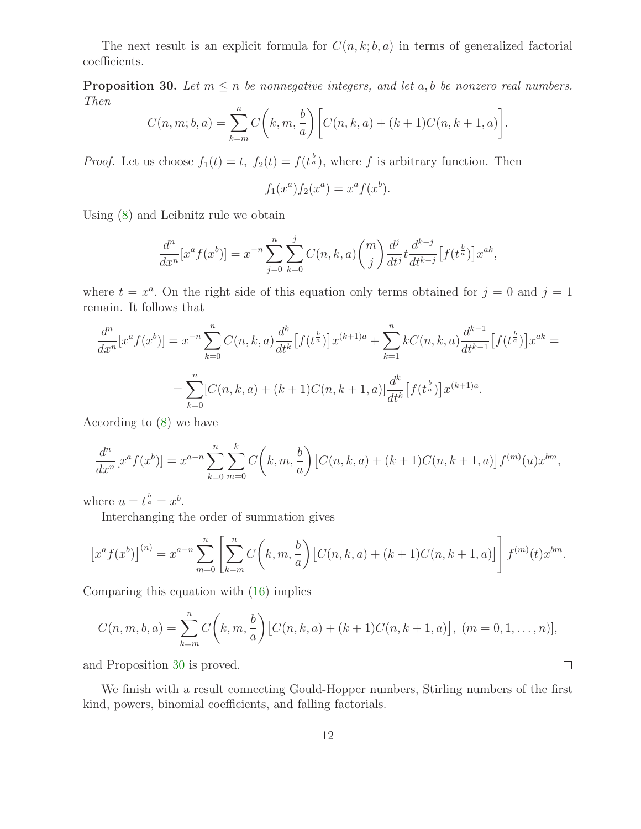<span id="page-11-0"></span>The next result is an explicit formula for  $C(n, k; b, a)$  in terms of generalized factorial coefficients.

**Proposition 30.** Let  $m \leq n$  be nonnegative integers, and let a, b be nonzero real numbers. Then

$$
C(n, m; b, a) = \sum_{k=m}^{n} C(k, m, \frac{b}{a}) \left[ C(n, k, a) + (k+1)C(n, k+1, a) \right].
$$

*Proof.* Let us choose  $f_1(t) = t$ ,  $f_2(t) = f(t^{\frac{b}{a}})$ , where f is arbitrary function. Then

$$
f_1(x^a) f_2(x^a) = x^a f(x^b).
$$

Using [\(8\)](#page-5-2) and Leibnitz rule we obtain

$$
\frac{d^n}{dx^n}[x^a f(x^b)] = x^{-n} \sum_{j=0}^n \sum_{k=0}^j C(n, k, a) {m \choose j} \frac{d^j}{dt^j} t \frac{d^{k-j}}{dt^{k-j}} [f(t^{\frac{b}{a}})] x^{ak},
$$

where  $t = x^a$ . On the right side of this equation only terms obtained for  $j = 0$  and  $j = 1$ remain. It follows that

$$
\frac{d^n}{dx^n}[x^a f(x^b)] = x^{-n} \sum_{k=0}^n C(n,k,a) \frac{d^k}{dt^k} [f(t^{\frac{b}{a}})]x^{(k+1)a} + \sum_{k=1}^n kC(n,k,a) \frac{d^{k-1}}{dt^{k-1}} [f(t^{\frac{b}{a}})]x^{ak} =
$$
  
= 
$$
\sum_{k=0}^n [C(n,k,a) + (k+1)C(n,k+1,a)] \frac{d^k}{dt^k} [f(t^{\frac{b}{a}})]x^{(k+1)a}.
$$

According to [\(8\)](#page-5-2) we have

$$
\frac{d^n}{dx^n}[x^a f(x^b)] = x^{a-n} \sum_{k=0}^n \sum_{m=0}^k C\left(k, m, \frac{b}{a}\right) \left[C(n, k, a) + (k+1)C(n, k+1, a)\right] f^{(m)}(u) x^{bm},
$$

where  $u = t^{\frac{b}{a}} = x^b$ .

Interchanging the order of summation gives

$$
\[x^{a} f(x^{b})\]^{(n)} = x^{a-n} \sum_{m=0}^{n} \left[ \sum_{k=m}^{n} C\left(k, m, \frac{b}{a}\right) \left[C(n, k, a) + (k+1)C(n, k+1, a)\right] \right] f^{(m)}(t) x^{bm}.
$$

Comparing this equation with [\(16\)](#page-9-1) implies

$$
C(n, m, b, a) = \sum_{k=m}^{n} C\left(k, m, \frac{b}{a}\right) \left[C(n, k, a) + (k+1)C(n, k+1, a)\right], (m = 0, 1, \dots, n)],
$$

 $\Box$ 

and Proposition [30](#page-11-0) is proved.

We finish with a result connecting Gould-Hopper numbers, Stirling numbers of the first kind, powers, binomial coefficients, and falling factorials.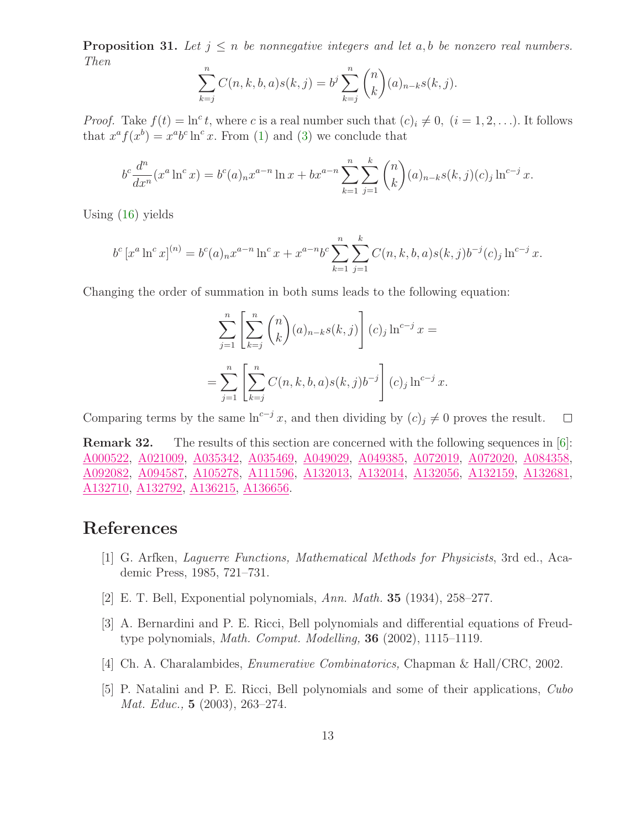**Proposition 31.** Let  $j \leq n$  be nonnegative integers and let a, b be nonzero real numbers. Then

$$
\sum_{k=j}^{n} C(n, k, b, a) s(k, j) = b^{j} \sum_{k=j}^{n} {n \choose k} (a)_{n-k} s(k, j).
$$

*Proof.* Take  $f(t) = \ln^c t$ , where c is a real number such that  $(c)_i \neq 0$ ,  $(i = 1, 2, \ldots)$ . It follows that  $x^a f(x^b) = x^a b^c \ln^c x$ . From [\(1\)](#page-1-1) and [\(3\)](#page-3-0) we conclude that

$$
b^{c} \frac{d^{n}}{dx^{n}} (x^{a} \ln^{c} x) = b^{c}(a)_{n} x^{a-n} \ln x + b x^{a-n} \sum_{k=1}^{n} \sum_{j=1}^{k} {n \choose k} (a)_{n-k} s(k,j)(c)_j \ln^{c-j} x.
$$

Using [\(16\)](#page-9-1) yields

$$
b^{c} [x^{a} \ln^{c} x]^{(n)} = b^{c}(a)_{n} x^{a-n} \ln^{c} x + x^{a-n} b^{c} \sum_{k=1}^{n} \sum_{j=1}^{k} C(n, k, b, a) s(k, j) b^{-j}(c)_{j} \ln^{c-j} x.
$$

Changing the order of summation in both sums leads to the following equation:

$$
\sum_{j=1}^{n} \left[ \sum_{k=j}^{n} {n \choose k} (a)_{n-k} s(k,j) \right] (c)_j \ln^{c-j} x =
$$
  
= 
$$
\sum_{j=1}^{n} \left[ \sum_{k=j}^{n} C(n,k,b,a) s(k,j) b^{-j} \right] (c)_j \ln^{c-j} x.
$$

Comparing terms by the same  $\ln^{c-j} x$ , and then dividing by  $(c)_j \neq 0$  proves the result.  $\Box$ 

Remark 32. The results of this section are concerned with the following sequences in [\[6\]](#page-13-0): [A000522,](http://www.research.att.com/cgi-bin/access.cgi/as/~njas/sequences/eisA.cgi?Anum=A000522) [A021009,](http://www.research.att.com/cgi-bin/access.cgi/as/~njas/sequences/eisA.cgi?Anum=A021009) [A035342,](http://www.research.att.com/cgi-bin/access.cgi/as/~njas/sequences/eisA.cgi?Anum=A035342) [A035469,](http://www.research.att.com/cgi-bin/access.cgi/as/~njas/sequences/eisA.cgi?Anum=A035469) [A049029,](http://www.research.att.com/cgi-bin/access.cgi/as/~njas/sequences/eisA.cgi?Anum=A049029) [A049385,](http://www.research.att.com/cgi-bin/access.cgi/as/~njas/sequences/eisA.cgi?Anum=A049385) [A072019,](http://www.research.att.com/cgi-bin/access.cgi/as/~njas/sequences/eisA.cgi?Anum=A072019) [A072020,](http://www.research.att.com/cgi-bin/access.cgi/as/~njas/sequences/eisA.cgi?Anum=A072020) [A084358,](http://www.research.att.com/cgi-bin/access.cgi/as/~njas/sequences/eisA.cgi?Anum=A084358) [A092082,](http://www.research.att.com/cgi-bin/access.cgi/as/~njas/sequences/eisA.cgi?Anum=A092082) [A094587,](http://www.research.att.com/cgi-bin/access.cgi/as/~njas/sequences/eisA.cgi?Anum=A094587) [A105278,](http://www.research.att.com/cgi-bin/access.cgi/as/~njas/sequences/eisA.cgi?Anum=A105278) [A111596,](http://www.research.att.com/cgi-bin/access.cgi/as/~njas/sequences/eisA.cgi?Anum=A111596) [A132013,](http://www.research.att.com/cgi-bin/access.cgi/as/~njas/sequences/eisA.cgi?Anum=A132013) [A132014,](http://www.research.att.com/cgi-bin/access.cgi/as/~njas/sequences/eisA.cgi?Anum=A132014) [A132056,](http://www.research.att.com/cgi-bin/access.cgi/as/~njas/sequences/eisA.cgi?Anum=A132056) [A132159,](http://www.research.att.com/cgi-bin/access.cgi/as/~njas/sequences/eisA.cgi?Anum=A132159) [A132681,](http://www.research.att.com/cgi-bin/access.cgi/as/~njas/sequences/eisA.cgi?Anum=A132681) [A132710,](http://www.research.att.com/cgi-bin/access.cgi/as/~njas/sequences/eisA.cgi?Anum=A132710) [A132792,](http://www.research.att.com/cgi-bin/access.cgi/as/~njas/sequences/eisA.cgi?Anum=A132792) [A136215,](http://www.research.att.com/cgi-bin/access.cgi/as/~njas/sequences/eisA.cgi?Anum=A136215) [A136656.](http://www.research.att.com/cgi-bin/access.cgi/as/~njas/sequences/eisA.cgi?Anum=A136656)

#### <span id="page-12-4"></span><span id="page-12-1"></span>References

- [1] G. Arfken, Laguerre Functions, Mathematical Methods for Physicists, 3rd ed., Academic Press, 1985, 721–731.
- <span id="page-12-3"></span>[2] E. T. Bell, Exponential polynomials, Ann. Math. 35 (1934), 258–277.
- [3] A. Bernardini and P. E. Ricci, Bell polynomials and differential equations of Freudtype polynomials, Math. Comput. Modelling, 36 (2002), 1115–1119.
- <span id="page-12-2"></span><span id="page-12-0"></span>[4] Ch. A. Charalambides, Enumerative Combinatorics, Chapman & Hall/CRC, 2002.
- [5] P. Natalini and P. E. Ricci, Bell polynomials and some of their applications, Cubo Mat. Educ., 5 (2003), 263–274.